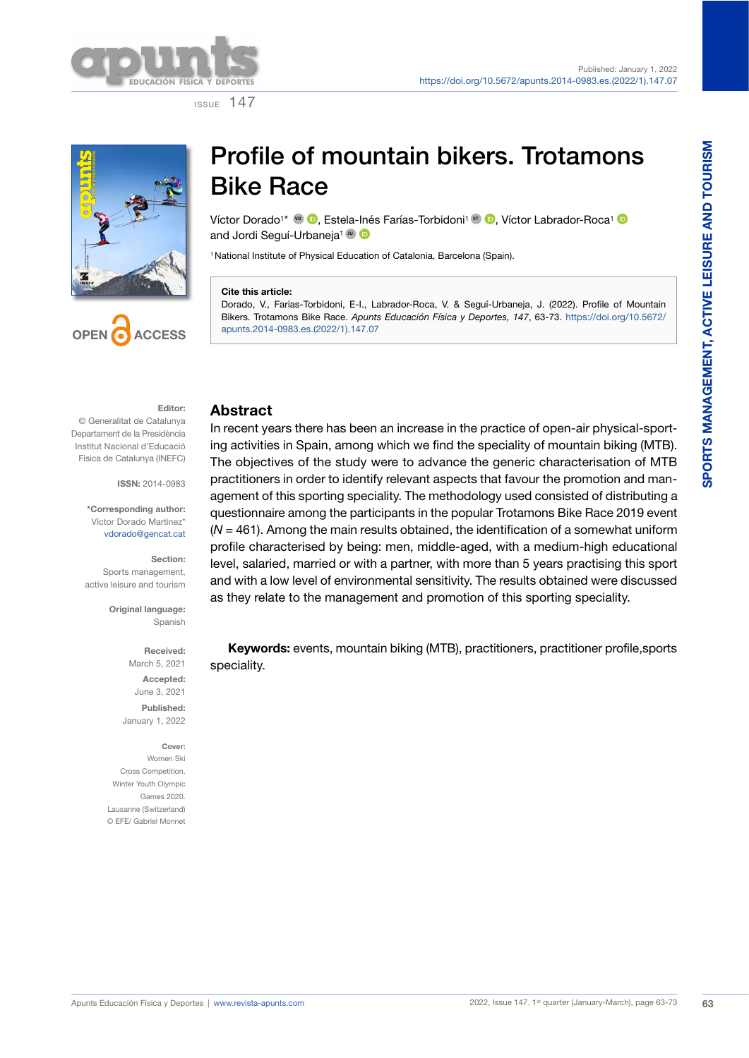

ISSUE 147



# Profile of mountain bikers. Trotamons Bike Race

Víctor Dorado<sup>1\*</sup> <sup>v</sup>D **D**[,](https://orcid.org/0000-0002-7541-8140) Estela[-Iné](https://orcid.org/0000-0002-5174-4355)s Farías-Torbidoni<sup>1</sup> **E**D, Víctor Labrador-Roca<sup>1</sup> D and Jordi Seguí-Urbaneja<sup>1</sup> D

<sup>1</sup> National Institute of Physical Education of Catalonia, Barcelona (Spain).

### **Cite this article:**

Dorado, V., Farías-Torbidoni, E-I., Labrador-Roca, V. & Seguí-Urbaneja, J. (2022). Profile of Mountain Bikers. Trotamons Bike Race. *Apunts Educación Física y Deportes, 147*, 63-73. [https://doi.org/10.5672/](https://doi.org/10.5672/apunts.2014-0983.es.(2022/1).147.07) [apunts.2014-0983.es.\(2022/1\).147.07](https://doi.org/10.5672/apunts.2014-0983.es.(2022/1).147.07)

### **Editor:**

**CCESS** 

© Generalitat de Catalunya Departament de la Presidència Institut Nacional d'Educació Física de Catalunya (INEFC)

**ISSN:** 2014-0983

**\*Corresponding author:** Víctor Dorado Martínez\* [vdorado@gencat.cat](mailto:vdorado@gencat.cat)

**Section:** Sports management, active leisure and tourism

> **Original language:** Spanish

> > **Received:** March 5, 2021 **Accepted:** June 3, 2021 **Published:**  January 1, 2022

**Cover:** Women Ski Cross Competition. Winter Youth Olympic Games 2020. Lausanne (Switzerland) © EFE/ Gabriel Monnet

### **Abstract**

In recent years there has been an increase in the practice of open-air physical-sporting activities in Spain, among which we find the speciality of mountain biking (MTB). The objectives of the study were to advance the generic characterisation of MTB practitioners in order to identify relevant aspects that favour the promotion and management of this sporting speciality. The methodology used consisted of distributing a questionnaire among the participants in the popular Trotamons Bike Race 2019 event (*N* = 461). Among the main results obtained, the identification of a somewhat uniform profile characterised by being: men, middle-aged, with a medium-high educational level, salaried, married or with a partner, with more than 5 years practising this sport and with a low level of environmental sensitivity. The results obtained were discussed as they relate to the management and promotion of this sporting speciality.

**Keywords:** events, mountain biking (MTB), practitioners, practitioner profile,sports speciality.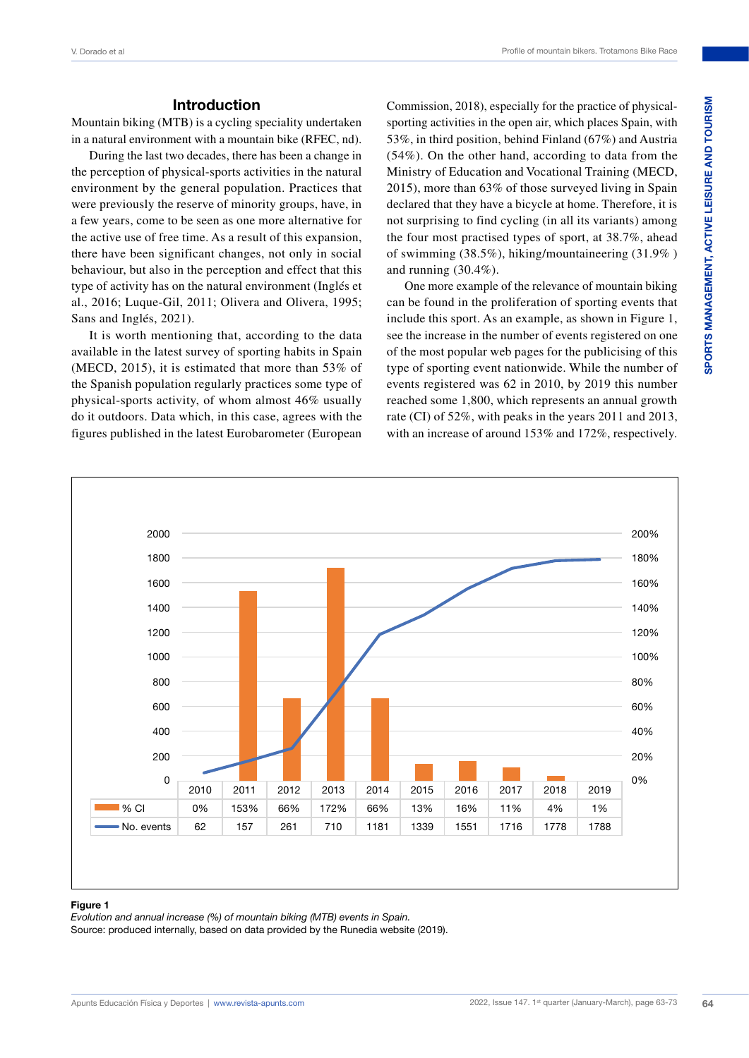### **Introduction**

Mountain biking (MTB) is a cycling speciality undertaken in a natural environment with a mountain bike (RFEC, nd).

During the last two decades, there has been a change in the perception of physical-sports activities in the natural environment by the general population. Practices that were previously the reserve of minority groups, have, in a few years, come to be seen as one more alternative for the active use of free time. As a result of this expansion, there have been significant changes, not only in social behaviour, but also in the perception and effect that this type of activity has on the natural environment (Inglés et al., 2016; Luque-Gil, 2011; Olivera and Olivera, 1995; Sans and Inglés, 2021).

It is worth mentioning that, according to the data available in the latest survey of sporting habits in Spain (MECD, 2015), it is estimated that more than 53% of the Spanish population regularly practices some type of physical-sports activity, of whom almost 46% usually do it outdoors. Data which, in this case, agrees with the figures published in the latest Eurobarometer (European

Commission, 2018), especially for the practice of physicalsporting activities in the open air, which places Spain, with 53%, in third position, behind Finland (67%) and Austria (54%). On the other hand, according to data from the Ministry of Education and Vocational Training (MECD, 2015), more than 63% of those surveyed living in Spain declared that they have a bicycle at home. Therefore, it is not surprising to find cycling (in all its variants) among the four most practised types of sport, at 38.7%, ahead of swimming (38.5%), hiking/mountaineering (31.9% ) and running (30.4%).

One more example of the relevance of mountain biking can be found in the proliferation of sporting events that include this sport. As an example, as shown in Figure 1, see the increase in the number of events registered on one of the most popular web pages for the publicising of this type of sporting event nationwide. While the number of events registered was 62 in 2010, by 2019 this number reached some 1,800, which represents an annual growth rate (CI) of 52%, with peaks in the years 2011 and 2013, with an increase of around 153% and 172%, respectively.



### **Figure 1**

*Evolution and annual increase (%) of mountain biking (MTB) events in Spain.*

Source: produced internally, based on data provided by the Runedia website (2019).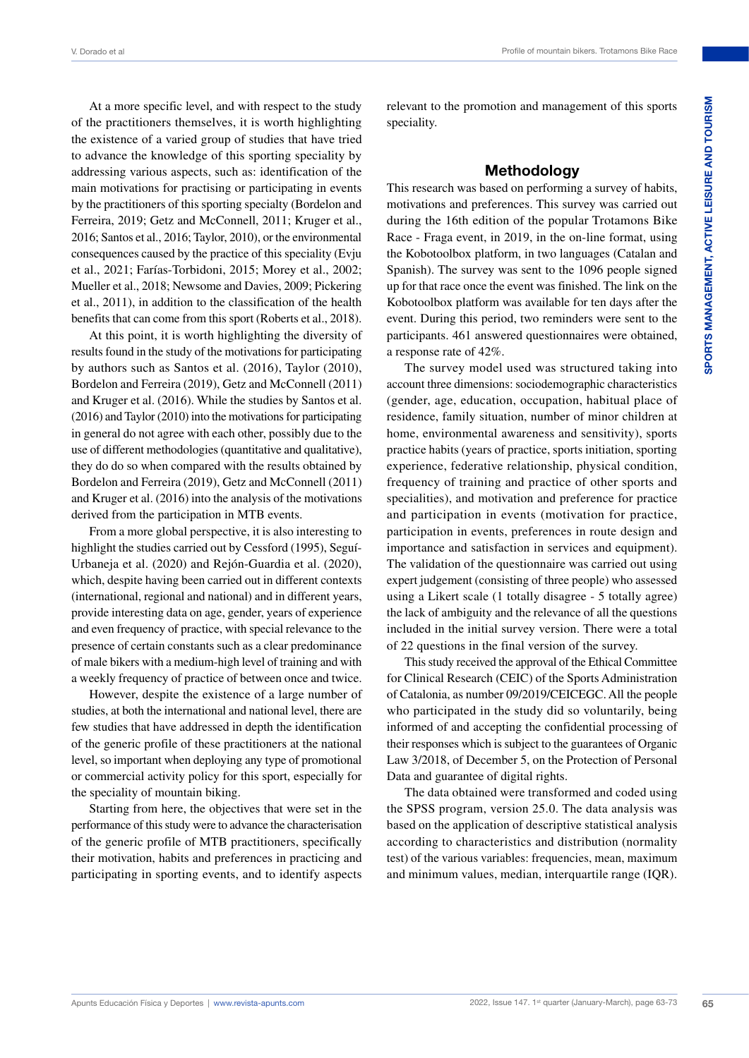At a more specific level, and with respect to the study of the practitioners themselves, it is worth highlighting the existence of a varied group of studies that have tried to advance the knowledge of this sporting speciality by addressing various aspects, such as: identification of the main motivations for practising or participating in events by the practitioners of this sporting specialty (Bordelon and Ferreira, 2019; Getz and McConnell, 2011; Kruger et al., 2016; Santos et al., 2016; Taylor, 2010), or the environmental consequences caused by the practice of this speciality (Evju et al., 2021; Farías-Torbidoni, 2015; Morey et al., 2002; Mueller et al., 2018; Newsome and Davies, 2009; Pickering et al., 2011), in addition to the classification of the health benefits that can come from this sport (Roberts et al., 2018).

At this point, it is worth highlighting the diversity of results found in the study of the motivations for participating by authors such as Santos et al. (2016), Taylor (2010), Bordelon and Ferreira (2019), Getz and McConnell (2011) and Kruger et al. (2016). While the studies by Santos et al. (2016) and Taylor (2010) into the motivations for participating in general do not agree with each other, possibly due to the use of different methodologies (quantitative and qualitative), they do do so when compared with the results obtained by Bordelon and Ferreira (2019), Getz and McConnell (2011) and Kruger et al. (2016) into the analysis of the motivations derived from the participation in MTB events.

From a more global perspective, it is also interesting to highlight the studies carried out by Cessford (1995), Seguí-Urbaneja et al. (2020) and Rejón-Guardia et al. (2020), which, despite having been carried out in different contexts (international, regional and national) and in different years, provide interesting data on age, gender, years of experience and even frequency of practice, with special relevance to the presence of certain constants such as a clear predominance of male bikers with a medium-high level of training and with a weekly frequency of practice of between once and twice.

However, despite the existence of a large number of studies, at both the international and national level, there are few studies that have addressed in depth the identification of the generic profile of these practitioners at the national level, so important when deploying any type of promotional or commercial activity policy for this sport, especially for the speciality of mountain biking.

Starting from here, the objectives that were set in the performance of this study were to advance the characterisation of the generic profile of MTB practitioners, specifically their motivation, habits and preferences in practicing and participating in sporting events, and to identify aspects relevant to the promotion and management of this sports speciality.

### **Methodology**

This research was based on performing a survey of habits, motivations and preferences. This survey was carried out during the 16th edition of the popular Trotamons Bike Race - Fraga event, in 2019, in the on-line format, using the Kobotoolbox platform, in two languages (Catalan and Spanish). The survey was sent to the 1096 people signed up for that race once the event was finished. The link on the Kobotoolbox platform was available for ten days after the event. During this period, two reminders were sent to the participants. 461 answered questionnaires were obtained, a response rate of 42%.

The survey model used was structured taking into account three dimensions: sociodemographic characteristics (gender, age, education, occupation, habitual place of residence, family situation, number of minor children at home, environmental awareness and sensitivity), sports practice habits (years of practice, sports initiation, sporting experience, federative relationship, physical condition, frequency of training and practice of other sports and specialities), and motivation and preference for practice and participation in events (motivation for practice, participation in events, preferences in route design and importance and satisfaction in services and equipment). The validation of the questionnaire was carried out using expert judgement (consisting of three people) who assessed using a Likert scale (1 totally disagree - 5 totally agree) the lack of ambiguity and the relevance of all the questions included in the initial survey version. There were a total of 22 questions in the final version of the survey.

This study received the approval of the Ethical Committee for Clinical Research (CEIC) of the Sports Administration of Catalonia, as number 09/2019/CEICEGC. All the people who participated in the study did so voluntarily, being informed of and accepting the confidential processing of their responses which is subject to the guarantees of Organic Law 3/2018, of December 5, on the Protection of Personal Data and guarantee of digital rights.

The data obtained were transformed and coded using the SPSS program, version 25.0. The data analysis was based on the application of descriptive statistical analysis according to characteristics and distribution (normality test) of the various variables: frequencies, mean, maximum and minimum values, median, interquartile range (IQR).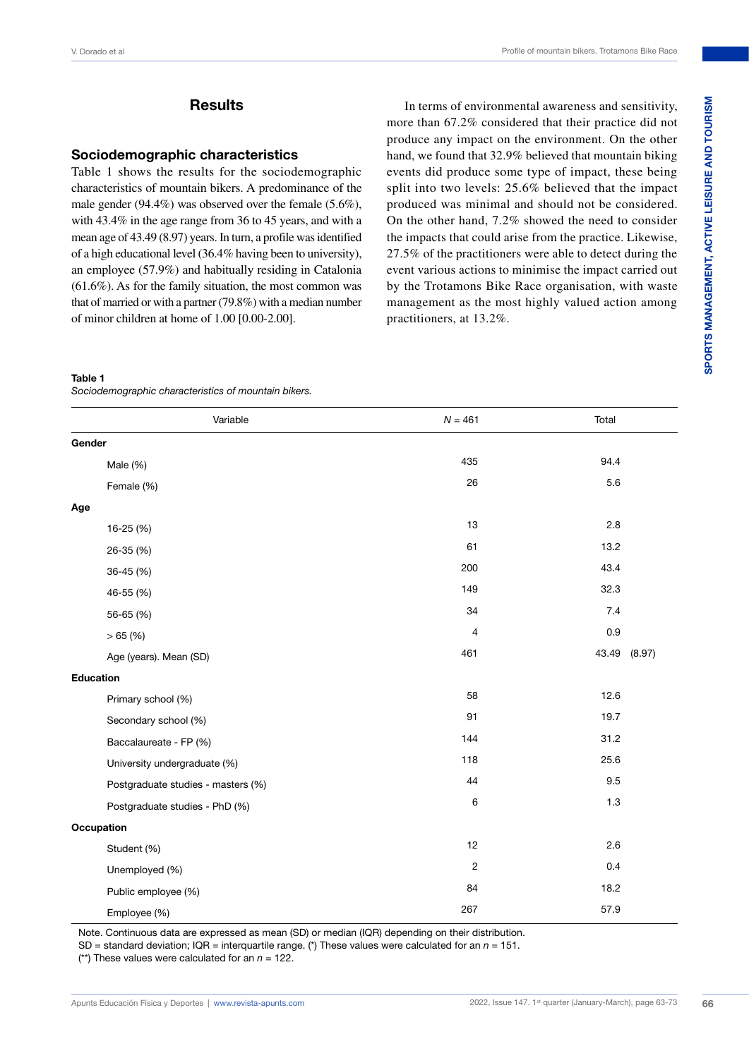# SPORTS MANAGEMENT, ACTIVE LEISURE AND TOURISM **SPORTS MANAGEMENT, ACTIVE LEISURE AND TOURISM**

### **Results**

### **Sociodemographic characteristics**

Table 1 shows the results for the sociodemographic characteristics of mountain bikers. A predominance of the male gender (94.4%) was observed over the female (5.6%), with 43.4% in the age range from 36 to 45 years, and with a mean age of 43.49 (8.97) years. In turn, a profile was identified of a high educational level (36.4% having been to university), an employee (57.9%) and habitually residing in Catalonia (61.6%). As for the family situation, the most common was that of married or with a partner (79.8%) with a median number of minor children at home of 1.00 [0.00-2.00].

In terms of environmental awareness and sensitivity, more than 67.2% considered that their practice did not produce any impact on the environment. On the other hand, we found that 32.9% believed that mountain biking events did produce some type of impact, these being split into two levels: 25.6% believed that the impact produced was minimal and should not be considered. On the other hand, 7.2% showed the need to consider the impacts that could arise from the practice. Likewise, 27.5% of the practitioners were able to detect during the event various actions to minimise the impact carried out by the Trotamons Bike Race organisation, with waste management as the most highly valued action among practitioners, at 13.2%.

### **Table 1**

*Sociodemographic characteristics of mountain bikers.*

| Variable                           | $N = 461$  | Total           |
|------------------------------------|------------|-----------------|
| Gender                             |            |                 |
| Male (%)                           | 435        | 94.4            |
| Female (%)                         | 26         | 5.6             |
| Age                                |            |                 |
| $16-25(%)$                         | 13         | 2.8             |
| 26-35 (%)                          | 61         | 13.2            |
| 36-45 (%)                          | 200        | 43.4            |
| 46-55 (%)                          | 149        | 32.3            |
| 56-65 (%)                          | 34         | 7.4             |
| >65(%)                             | 4          | 0.9             |
| Age (years). Mean (SD)             | 461        | 43.49<br>(8.97) |
| <b>Education</b>                   |            |                 |
| Primary school (%)                 | 58         | 12.6            |
| Secondary school (%)               | 91         | 19.7            |
| Baccalaureate - FP (%)             | 144        | 31.2            |
| University undergraduate (%)       | 118        | 25.6            |
| Postgraduate studies - masters (%) | 44         | 9.5             |
| Postgraduate studies - PhD (%)     | 6          | 1.3             |
| Occupation                         |            |                 |
| Student (%)                        | 12         | 2.6             |
| Unemployed (%)                     | $\sqrt{2}$ | 0.4             |
| Public employee (%)                | 84         | 18.2            |
| Employee (%)                       | 267        | 57.9            |

Note. Continuous data are expressed as mean (SD) or median (IQR) depending on their distribution.

SD = standard deviation; IQR = interquartile range. (\*) These values were calculated for an *n* = 151.

(\*\*) These values were calculated for an  $n = 122$ .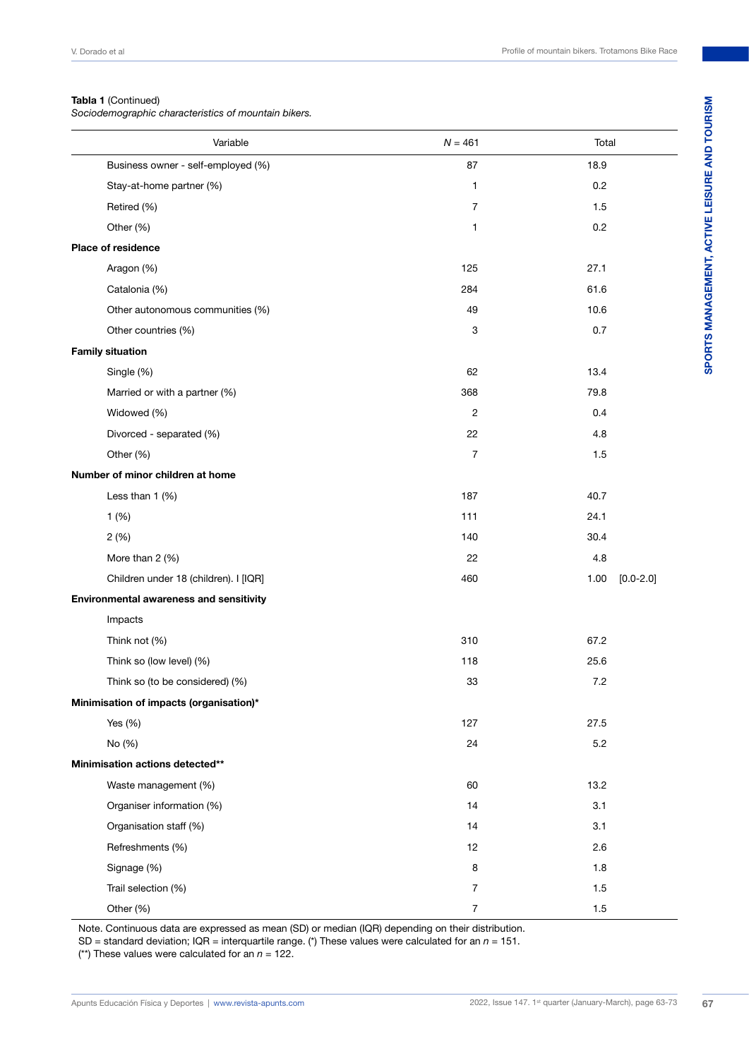### **Tabla 1** (Continued)

*Sociodemographic characteristics of mountain bikers.*

| Variable                                | $N = 461$      | Total   |               |
|-----------------------------------------|----------------|---------|---------------|
| Business owner - self-employed (%)      | 87             | 18.9    |               |
| Stay-at-home partner (%)                | 1              | 0.2     |               |
| Retired (%)                             | $\overline{7}$ | 1.5     |               |
| Other (%)                               | 1              | 0.2     |               |
| Place of residence                      |                |         |               |
| Aragon (%)                              | 125            | 27.1    |               |
| Catalonia (%)                           | 284            | 61.6    |               |
| Other autonomous communities (%)        | 49             | 10.6    |               |
| Other countries (%)                     | 3              | 0.7     |               |
| <b>Family situation</b>                 |                |         |               |
| Single (%)                              | 62             | 13.4    |               |
| Married or with a partner (%)           | 368            | 79.8    |               |
| Widowed (%)                             | $\overline{2}$ | 0.4     |               |
| Divorced - separated (%)                | 22             | 4.8     |               |
| Other (%)                               | $\overline{7}$ | 1.5     |               |
| Number of minor children at home        |                |         |               |
| Less than 1 (%)                         | 187            | 40.7    |               |
| 1(%)                                    | 111            | 24.1    |               |
| 2(%)                                    | 140            | 30.4    |               |
| More than 2 (%)                         | 22             | 4.8     |               |
| Children under 18 (children). I [IQR]   | 460            | 1.00    | $[0.0 - 2.0]$ |
| Environmental awareness and sensitivity |                |         |               |
| Impacts                                 |                |         |               |
| Think not (%)                           | 310            | 67.2    |               |
| Think so (low level) (%)                | 118            | 25.6    |               |
| Think so (to be considered) (%)         | 33             | 7.2     |               |
| Minimisation of impacts (organisation)* |                |         |               |
| Yes $(\% )$                             | 127            | 27.5    |               |
| No (%)                                  | 24             | 5.2     |               |
| Minimisation actions detected**         |                |         |               |
| Waste management (%)                    | 60             | 13.2    |               |
| Organiser information (%)               | 14             | 3.1     |               |
| Organisation staff (%)                  | 14             | 3.1     |               |
| Refreshments (%)                        | 12             | 2.6     |               |
| Signage (%)                             | 8              | 1.8     |               |
| Trail selection (%)                     | 7              | 1.5     |               |
| Other (%)                               | $\overline{7}$ | $1.5\,$ |               |

Note. Continuous data are expressed as mean (SD) or median (IQR) depending on their distribution.

SD = standard deviation; IQR = interquartile range. (\*) These values were calculated for an *n* = 151.

(\*\*) These values were calculated for an  $n = 122$ .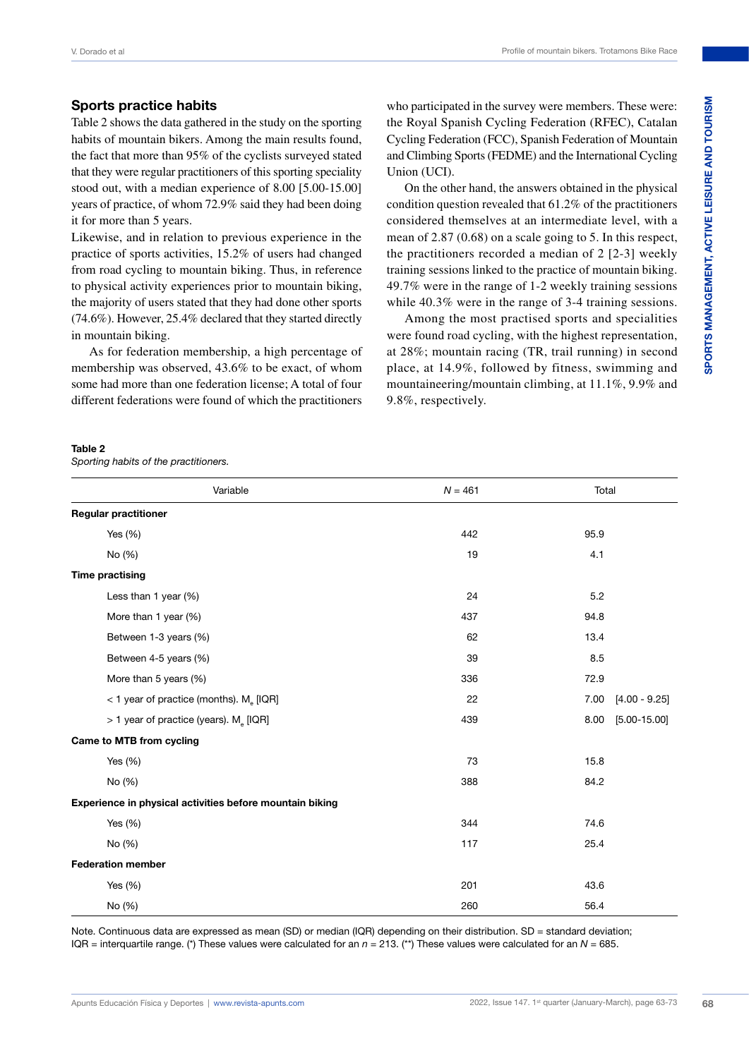### **Sports practice habits**

Table 2 shows the data gathered in the study on the sporting habits of mountain bikers. Among the main results found, the fact that more than 95% of the cyclists surveyed stated that they were regular practitioners of this sporting speciality stood out, with a median experience of 8.00 [5.00-15.00] years of practice, of whom 72.9% said they had been doing it for more than 5 years.

Likewise, and in relation to previous experience in the practice of sports activities, 15.2% of users had changed from road cycling to mountain biking. Thus, in reference to physical activity experiences prior to mountain biking, the majority of users stated that they had done other sports (74.6%). However, 25.4% declared that they started directly in mountain biking.

As for federation membership, a high percentage of membership was observed, 43.6% to be exact, of whom some had more than one federation license; A total of four different federations were found of which the practitioners who participated in the survey were members. These were: the Royal Spanish Cycling Federation (RFEC), Catalan Cycling Federation (FCC), Spanish Federation of Mountain and Climbing Sports (FEDME) and the International Cycling Union (UCI).

On the other hand, the answers obtained in the physical condition question revealed that 61.2% of the practitioners considered themselves at an intermediate level, with a mean of 2.87 (0.68) on a scale going to 5. In this respect, the practitioners recorded a median of 2 [2-3] weekly training sessions linked to the practice of mountain biking. 49.7% were in the range of 1-2 weekly training sessions while 40.3% were in the range of 3-4 training sessions.

Among the most practised sports and specialities were found road cycling, with the highest representation, at 28%; mountain racing (TR, trail running) in second place, at 14.9%, followed by fitness, swimming and mountaineering/mountain climbing, at 11.1%, 9.9% and 9.8%, respectively.

### **Table 2**

*Sporting habits of the practitioners.*

| Variable                                                 | $N = 461$ | Total                    |
|----------------------------------------------------------|-----------|--------------------------|
| <b>Regular practitioner</b>                              |           |                          |
| Yes $(\%)$                                               | 442       | 95.9                     |
| No (%)                                                   | 19        | 4.1                      |
| <b>Time practising</b>                                   |           |                          |
| Less than 1 year (%)                                     | 24        | 5.2                      |
| More than 1 year (%)                                     | 437       | 94.8                     |
| Between 1-3 years (%)                                    | 62        | 13.4                     |
| Between 4-5 years (%)                                    | 39        | 8.5                      |
| More than 5 years (%)                                    | 336       | 72.9                     |
| < 1 year of practice (months). M <sub>e</sub> [IQR]      | 22        | $[4.00 - 9.25]$<br>7.00  |
| > 1 year of practice (years). M <sub>e</sub> [IQR]       | 439       | $[5.00 - 15.00]$<br>8.00 |
| <b>Came to MTB from cycling</b>                          |           |                          |
| Yes $(\%)$                                               | 73        | 15.8                     |
| No (%)                                                   | 388       | 84.2                     |
| Experience in physical activities before mountain biking |           |                          |
| Yes $(\%)$                                               | 344       | 74.6                     |
| No (%)                                                   | 117       | 25.4                     |
| <b>Federation member</b>                                 |           |                          |
| Yes $(\%)$                                               | 201       | 43.6                     |
| No (%)                                                   | 260       | 56.4                     |

Note. Continuous data are expressed as mean (SD) or median (IQR) depending on their distribution. SD = standard deviation; IQR = interquartile range. (\*) These values were calculated for an *n* = 213. (\*\*) These values were calculated for an *N* = 685.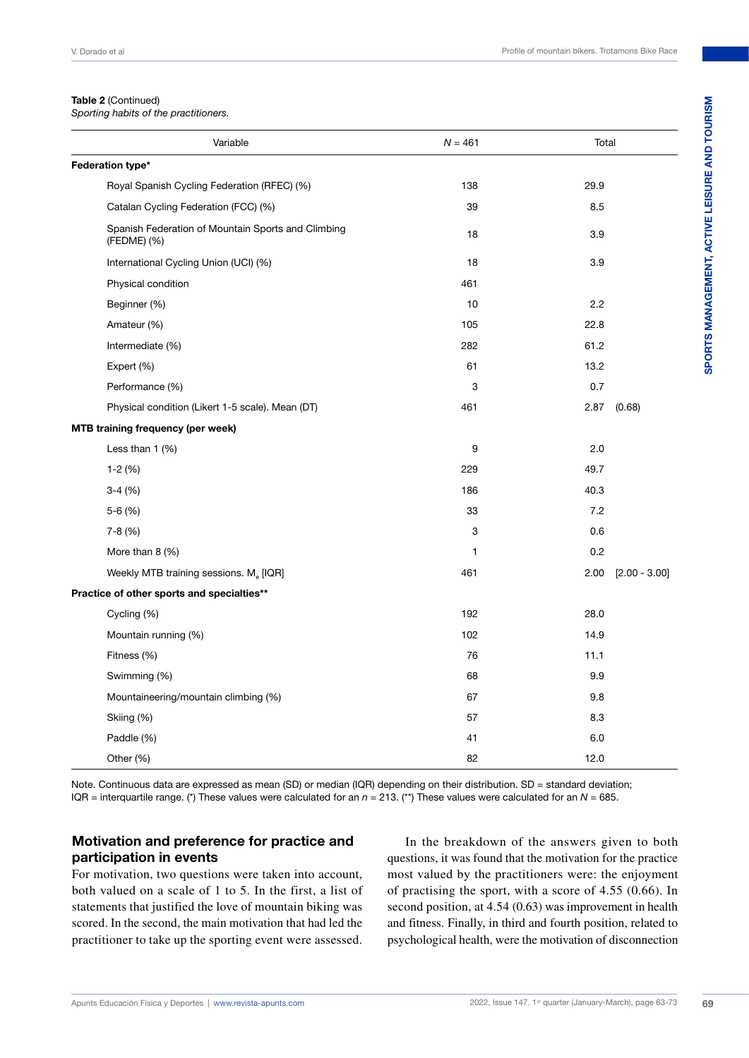### **Table 2** (Continued)

*Sporting habits of the practitioners.*

| Variable                                                          | $N = 461$ | Total                   |
|-------------------------------------------------------------------|-----------|-------------------------|
| Federation type*                                                  |           |                         |
| Royal Spanish Cycling Federation (RFEC) (%)                       | 138       | 29.9                    |
| Catalan Cycling Federation (FCC) (%)                              | 39        | 8.5                     |
| Spanish Federation of Mountain Sports and Climbing<br>(FEDME) (%) | 18        | 3.9                     |
| International Cycling Union (UCI) (%)                             | 18        | 3.9                     |
| Physical condition                                                | 461       |                         |
| Beginner (%)                                                      | 10        | 2.2                     |
| Amateur (%)                                                       | 105       | 22.8                    |
| Intermediate (%)                                                  | 282       | 61.2                    |
| Expert (%)                                                        | 61        | 13.2                    |
| Performance (%)                                                   | 3         | 0.7                     |
| Physical condition (Likert 1-5 scale). Mean (DT)                  | 461       | 2.87<br>(0.68)          |
| <b>MTB training frequency (per week)</b>                          |           |                         |
| Less than $1$ $(\%)$                                              | 9         | 2.0                     |
| $1-2(%)$                                                          | 229       | 49.7                    |
| $3-4(%)$                                                          | 186       | 40.3                    |
| $5-6(%)$                                                          | 33        | 7.2                     |
| $7-8(%)$                                                          | 3         | 0.6                     |
| More than $8$ (%)                                                 | 1         | 0.2                     |
| Weekly MTB training sessions. M. [IQR]                            | 461       | 2.00<br>$[2.00 - 3.00]$ |
| Practice of other sports and specialties**                        |           |                         |
| Cycling (%)                                                       | 192       | 28.0                    |
| Mountain running (%)                                              | 102       | 14.9                    |
| Fitness (%)                                                       | 76        | 11.1                    |
| Swimming (%)                                                      | 68        | 9.9                     |
| Mountaineering/mountain climbing (%)                              | 67        | 9.8                     |
| Skiing (%)                                                        | 57        | 8.3                     |
| Paddle (%)                                                        | 41        | 6.0                     |
| Other (%)                                                         | 82        | 12.0                    |

Note. Continuous data are expressed as mean (SD) or median (IQR) depending on their distribution. SD = standard deviation; IQR = interquartile range. (\*) These values were calculated for an *n* = 213. (\*\*) These values were calculated for an *N* = 685.

### **Motivation and preference for practice and participation in events**

For motivation, two questions were taken into account, both valued on a scale of 1 to 5. In the first, a list of statements that justified the love of mountain biking was scored. In the second, the main motivation that had led the practitioner to take up the sporting event were assessed.

In the breakdown of the answers given to both questions, it was found that the motivation for the practice most valued by the practitioners were: the enjoyment of practising the sport, with a score of 4.55 (0.66). In second position, at 4.54 (0.63) was improvement in health and fitness. Finally, in third and fourth position, related to psychological health, were the motivation of disconnection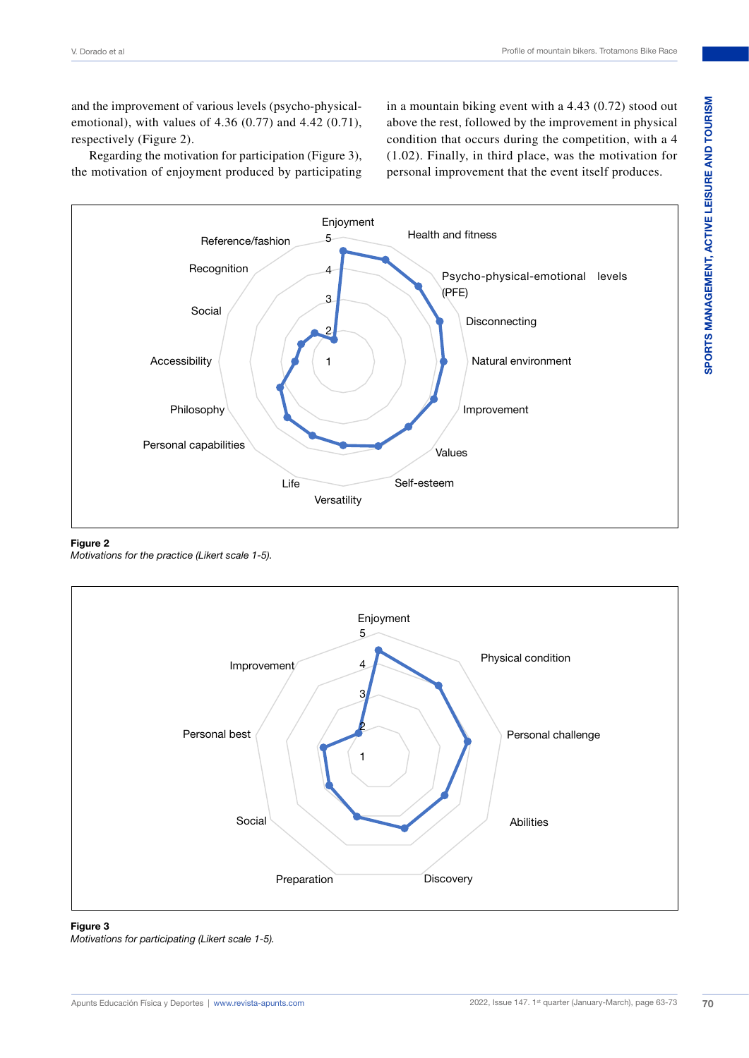and the improvement of various levels (psycho-physicalemotional), with values of 4.36 (0.77) and 4.42 (0.71), respectively (Figure 2).

Regarding the motivation for participation (Figure 3), the motivation of enjoyment produced by participating in a mountain biking event with a 4.43 (0.72) stood out above the rest, followed by the improvement in physical condition that occurs during the competition, with a 4 (1.02). Finally, in third place, was the motivation for personal improvement that the event itself produces.



### **Figure 2**

*Motivations for the practice (Likert scale 1-5).*



### **Figure 3**

*Motivations for participating (Likert scale 1-5).*

**SPORTS MANAGEMENT, ACTIVE LEISURE AND TOURISM**

SPORTS MANAGEMENT, ACTIVE LEISURE AND TOURISM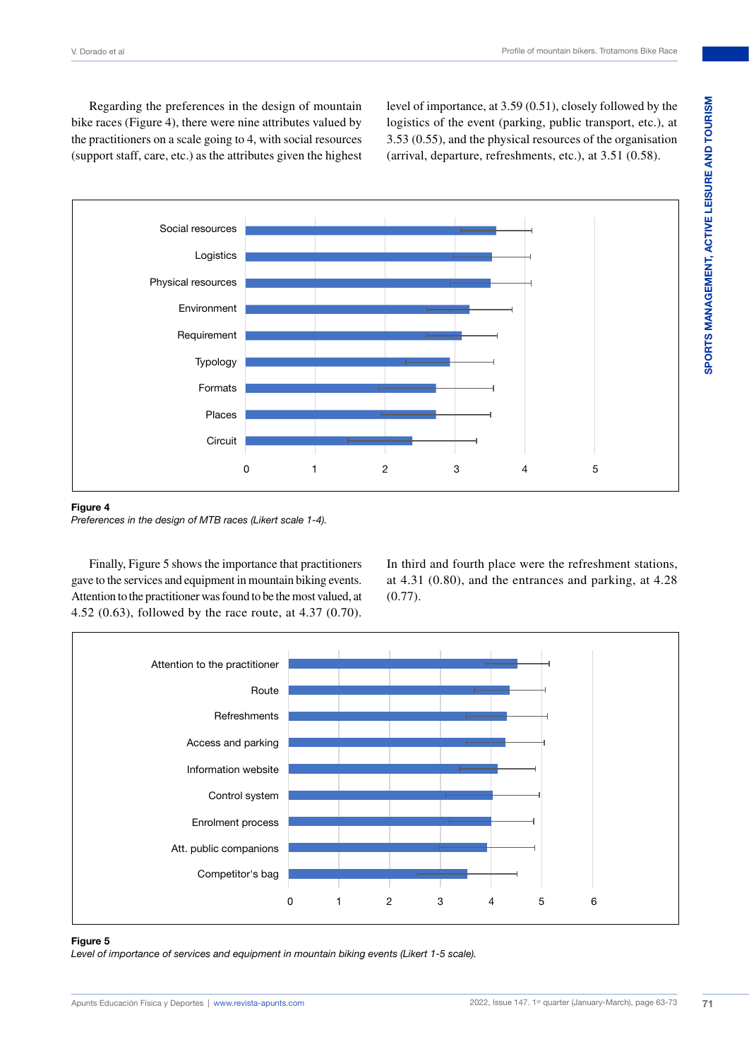Regarding the preferences in the design of mountain bike races (Figure 4), there were nine attributes valued by the practitioners on a scale going to 4, with social resources (support staff, care, etc.) as the attributes given the highest level of importance, at 3.59 (0.51), closely followed by the logistics of the event (parking, public transport, etc.), at 3.53 (0.55), and the physical resources of the organisation (arrival, departure, refreshments, etc.), at 3.51 (0.58).



### **Figure 4**

*Preferences in the design of MTB races (Likert scale 1-4).*

Finally, Figure 5 shows the importance that practitioners gave to the services and equipment in mountain biking events. Attention to the practitioner was found to be the most valued, at 4.52 (0.63), followed by the race route, at 4.37 (0.70).

In third and fourth place were the refreshment stations, at 4.31 (0.80), and the entrances and parking, at 4.28 (0.77).



### **Figure 5**

*Level of importance of services and equipment in mountain biking events (Likert 1-5 scale).*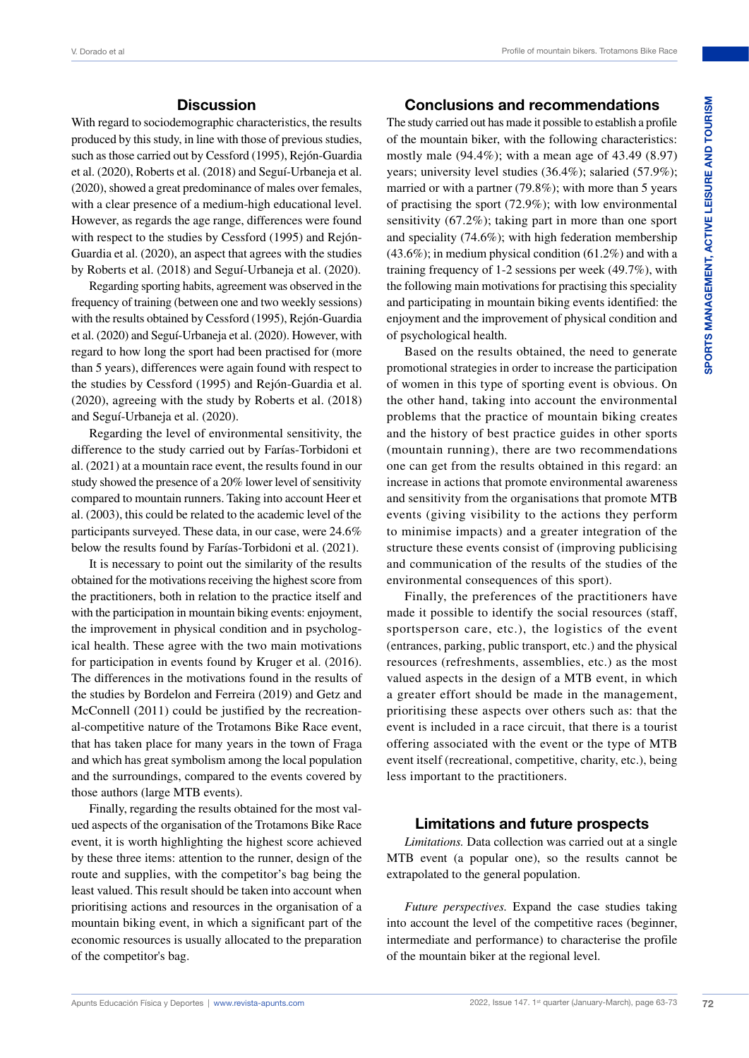### **Discussion**

With regard to sociodemographic characteristics, the results produced by this study, in line with those of previous studies, such as those carried out by Cessford (1995), Rejón-Guardia et al. (2020), Roberts et al. (2018) and Seguí-Urbaneja et al. (2020), showed a great predominance of males over females, with a clear presence of a medium-high educational level. However, as regards the age range, differences were found with respect to the studies by Cessford (1995) and Rejón-Guardia et al. (2020), an aspect that agrees with the studies by Roberts et al. (2018) and Seguí-Urbaneja et al. (2020).

Regarding sporting habits, agreement was observed in the frequency of training (between one and two weekly sessions) with the results obtained by Cessford (1995), Rejón-Guardia et al. (2020) and Seguí-Urbaneja et al. (2020). However, with regard to how long the sport had been practised for (more than 5 years), differences were again found with respect to the studies by Cessford (1995) and Rejón-Guardia et al. (2020), agreeing with the study by Roberts et al. (2018) and Seguí-Urbaneja et al. (2020).

Regarding the level of environmental sensitivity, the difference to the study carried out by Farías-Torbidoni et al. (2021) at a mountain race event, the results found in our study showed the presence of a 20% lower level of sensitivity compared to mountain runners. Taking into account Heer et al. (2003), this could be related to the academic level of the participants surveyed. These data, in our case, were 24.6% below the results found by Farías-Torbidoni et al. (2021).

It is necessary to point out the similarity of the results obtained for the motivations receiving the highest score from the practitioners, both in relation to the practice itself and with the participation in mountain biking events: enjoyment, the improvement in physical condition and in psychological health. These agree with the two main motivations for participation in events found by Kruger et al. (2016). The differences in the motivations found in the results of the studies by Bordelon and Ferreira (2019) and Getz and McConnell (2011) could be justified by the recreational-competitive nature of the Trotamons Bike Race event, that has taken place for many years in the town of Fraga and which has great symbolism among the local population and the surroundings, compared to the events covered by those authors (large MTB events).

Finally, regarding the results obtained for the most valued aspects of the organisation of the Trotamons Bike Race event, it is worth highlighting the highest score achieved by these three items: attention to the runner, design of the route and supplies, with the competitor's bag being the least valued. This result should be taken into account when prioritising actions and resources in the organisation of a mountain biking event, in which a significant part of the economic resources is usually allocated to the preparation of the competitor's bag.

### **Conclusions and recommendations**

The study carried out has made it possible to establish a profile of the mountain biker, with the following characteristics: mostly male (94.4%); with a mean age of 43.49 (8.97) years; university level studies (36.4%); salaried (57.9%); married or with a partner (79.8%); with more than 5 years of practising the sport (72.9%); with low environmental sensitivity (67.2%); taking part in more than one sport and speciality (74.6%); with high federation membership  $(43.6\%)$ ; in medium physical condition  $(61.2\%)$  and with a training frequency of 1-2 sessions per week (49.7%), with the following main motivations for practising this speciality and participating in mountain biking events identified: the enjoyment and the improvement of physical condition and of psychological health.

Based on the results obtained, the need to generate promotional strategies in order to increase the participation of women in this type of sporting event is obvious. On the other hand, taking into account the environmental problems that the practice of mountain biking creates and the history of best practice guides in other sports (mountain running), there are two recommendations one can get from the results obtained in this regard: an increase in actions that promote environmental awareness and sensitivity from the organisations that promote MTB events (giving visibility to the actions they perform to minimise impacts) and a greater integration of the structure these events consist of (improving publicising and communication of the results of the studies of the environmental consequences of this sport).

Finally, the preferences of the practitioners have made it possible to identify the social resources (staff, sportsperson care, etc.), the logistics of the event (entrances, parking, public transport, etc.) and the physical resources (refreshments, assemblies, etc.) as the most valued aspects in the design of a MTB event, in which a greater effort should be made in the management, prioritising these aspects over others such as: that the event is included in a race circuit, that there is a tourist offering associated with the event or the type of MTB event itself (recreational, competitive, charity, etc.), being less important to the practitioners.

### **Limitations and future prospects**

*Limitations.* Data collection was carried out at a single MTB event (a popular one), so the results cannot be extrapolated to the general population.

*Future perspectives.* Expand the case studies taking into account the level of the competitive races (beginner, intermediate and performance) to characterise the profile of the mountain biker at the regional level.